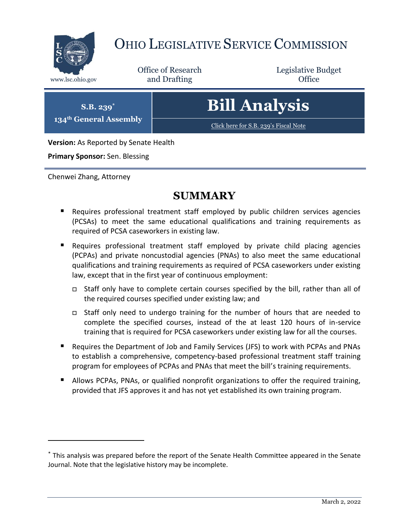

# OHIO LEGISLATIVE SERVICE COMMISSION

Office of Research www.lsc.ohio.gov **and Drafting Office** 

Legislative Budget

**S.B. 239\* 134th General Assembly** **Bill Analysis**

[Click here for S.B. 239](https://www.legislature.ohio.gov/legislation/legislation-documents?id=GA134-SB-239)'s Fiscal Note

**Version:** As Reported by Senate Health

**Primary Sponsor:** Sen. Blessing

Chenwei Zhang, Attorney

 $\overline{a}$ 

### **SUMMARY**

- Requires professional treatment staff employed by public children services agencies (PCSAs) to meet the same educational qualifications and training requirements as required of PCSA caseworkers in existing law.
- Requires professional treatment staff employed by private child placing agencies (PCPAs) and private noncustodial agencies (PNAs) to also meet the same educational qualifications and training requirements as required of PCSA caseworkers under existing law, except that in the first year of continuous employment:
	- Staff only have to complete certain courses specified by the bill, rather than all of the required courses specified under existing law; and
	- Staff only need to undergo training for the number of hours that are needed to complete the specified courses, instead of the at least 120 hours of in-service training that is required for PCSA caseworkers under existing law for all the courses.
- Requires the Department of Job and Family Services (JFS) to work with PCPAs and PNAs to establish a comprehensive, competency-based professional treatment staff training program for employees of PCPAs and PNAs that meet the bill's training requirements.
- **Allows PCPAs, PNAs, or qualified nonprofit organizations to offer the required training,** provided that JFS approves it and has not yet established its own training program.

<sup>\*</sup> This analysis was prepared before the report of the Senate Health Committee appeared in the Senate Journal. Note that the legislative history may be incomplete.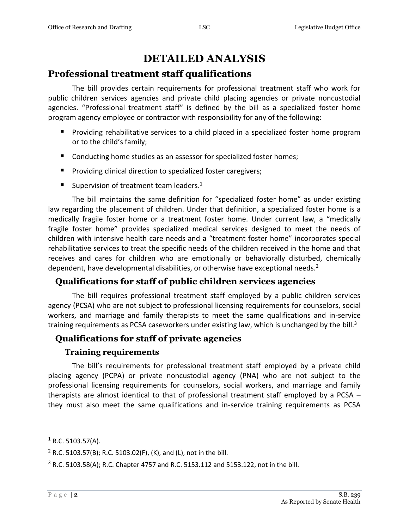## **DETAILED ANALYSIS**

#### **Professional treatment staff qualifications**

The bill provides certain requirements for professional treatment staff who work for public children services agencies and private child placing agencies or private noncustodial agencies. "Professional treatment staff" is defined by the bill as a specialized foster home program agency employee or contractor with responsibility for any of the following:

- **Providing rehabilitative services to a child placed in a specialized foster home program** or to the child's family;
- Conducting home studies as an assessor for specialized foster homes;
- **Providing clinical direction to specialized foster caregivers;**
- Supervision of treatment team leaders.<sup>1</sup>

The bill maintains the same definition for "specialized foster home" as under existing law regarding the placement of children. Under that definition, a specialized foster home is a medically fragile foster home or a treatment foster home. Under current law, a "medically fragile foster home" provides specialized medical services designed to meet the needs of children with intensive health care needs and a "treatment foster home" incorporates special rehabilitative services to treat the specific needs of the children received in the home and that receives and cares for children who are emotionally or behaviorally disturbed, chemically dependent, have developmental disabilities, or otherwise have exceptional needs.<sup>2</sup>

#### **Qualifications for staff of public children services agencies**

The bill requires professional treatment staff employed by a public children services agency (PCSA) who are not subject to professional licensing requirements for counselors, social workers, and marriage and family therapists to meet the same qualifications and in-service training requirements as PCSA caseworkers under existing law, which is unchanged by the bill.<sup>3</sup>

#### **Qualifications for staff of private agencies**

#### **Training requirements**

The bill's requirements for professional treatment staff employed by a private child placing agency (PCPA) or private noncustodial agency (PNA) who are not subject to the professional licensing requirements for counselors, social workers, and marriage and family therapists are almost identical to that of professional treatment staff employed by a PCSA – they must also meet the same qualifications and in-service training requirements as PCSA

 $\overline{a}$ 

 $1$  R.C. 5103.57(A).

<sup>&</sup>lt;sup>2</sup> R.C. 5103.57(B); R.C. 5103.02(F), (K), and (L), not in the bill.

<sup>3</sup> R.C. 5103.58(A); R.C. Chapter 4757 and R.C. 5153.112 and 5153.122, not in the bill.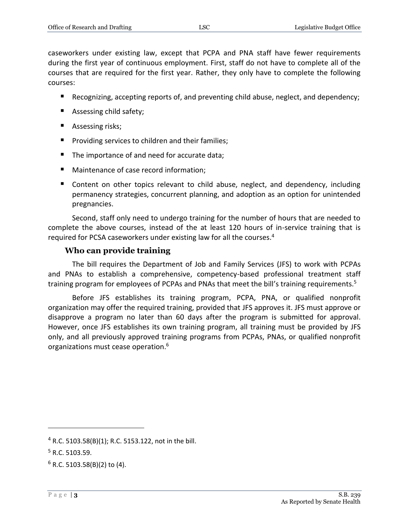caseworkers under existing law, except that PCPA and PNA staff have fewer requirements during the first year of continuous employment. First, staff do not have to complete all of the courses that are required for the first year. Rather, they only have to complete the following courses:

- Recognizing, accepting reports of, and preventing child abuse, neglect, and dependency;
- Assessing child safety;
- **Assessing risks;**
- **Providing services to children and their families;**
- The importance of and need for accurate data;
- Maintenance of case record information;
- Content on other topics relevant to child abuse, neglect, and dependency, including permanency strategies, concurrent planning, and adoption as an option for unintended pregnancies.

Second, staff only need to undergo training for the number of hours that are needed to complete the above courses, instead of the at least 120 hours of in-service training that is required for PCSA caseworkers under existing law for all the courses. 4

#### **Who can provide training**

The bill requires the Department of Job and Family Services (JFS) to work with PCPAs and PNAs to establish a comprehensive, competency-based professional treatment staff training program for employees of PCPAs and PNAs that meet the bill's training requirements.<sup>5</sup>

Before JFS establishes its training program, PCPA, PNA, or qualified nonprofit organization may offer the required training, provided that JFS approves it. JFS must approve or disapprove a program no later than 60 days after the program is submitted for approval. However, once JFS establishes its own training program, all training must be provided by JFS only, and all previously approved training programs from PCPAs, PNAs, or qualified nonprofit organizations must cease operation. 6

 $\overline{a}$ 

<sup>4</sup> R.C. 5103.58(B)(1); R.C. 5153.122, not in the bill.

 $5$  R.C. 5103.59.

 $6$  R.C. 5103.58(B)(2) to (4).